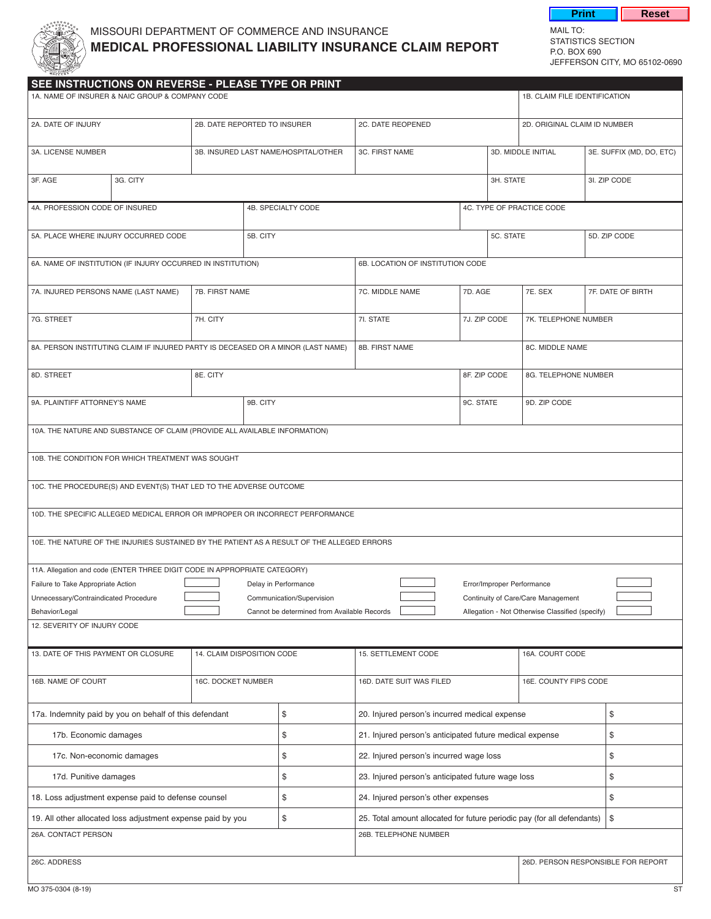

## MISSOURI DEPARTMENT OF COMMERCE AND INSURANCE<br>MEDICAL PROFESSIONAL LIADU ITV INCURANCE OLAIM PEROPT STATISTICS SECTION **MEDICAL PROFESSIONAL LIABILITY INSURANCE CLAIM REPORT**

P.O. BOx 690 jEFFERSON CITy, MO 65102-0690

**Print** Reset

| SEE INSTRUCTIONS ON REVERSE - PLEASE TYPE OR PRINT                                         |  |                                      |          |                                                                                                  |                            |                                  |                 |                      |                                                 |                                    |
|--------------------------------------------------------------------------------------------|--|--------------------------------------|----------|--------------------------------------------------------------------------------------------------|----------------------------|----------------------------------|-----------------|----------------------|-------------------------------------------------|------------------------------------|
| 1A. NAME OF INSURER & NAIC GROUP & COMPANY CODE                                            |  |                                      |          |                                                                                                  |                            |                                  |                 |                      | 1B. CLAIM FILE IDENTIFICATION                   |                                    |
| 2A. DATE OF INJURY                                                                         |  | 2B. DATE REPORTED TO INSURER         |          |                                                                                                  | 2C. DATE REOPENED          |                                  |                 |                      | 2D. ORIGINAL CLAIM ID NUMBER                    |                                    |
| 3A. LICENSE NUMBER                                                                         |  | 3B. INSURED LAST NAME/HOSPITAL/OTHER |          |                                                                                                  | 3C. FIRST NAME             |                                  |                 | 3D. MIDDLE INITIAL   |                                                 | 3E. SUFFIX (MD, DO, ETC)           |
| 3G. CITY<br>3F. AGE                                                                        |  |                                      |          |                                                                                                  |                            | 3H. STATE                        |                 | 3I. ZIP CODE         |                                                 |                                    |
| 4A. PROFESSION CODE OF INSURED                                                             |  |                                      |          | 4B. SPECIALTY CODE                                                                               |                            |                                  |                 |                      | 4C. TYPE OF PRACTICE CODE                       |                                    |
| 5A. PLACE WHERE INJURY OCCURRED CODE                                                       |  |                                      | 5B. CITY |                                                                                                  |                            |                                  | 5C. STATE       |                      |                                                 | 5D. ZIP CODE                       |
| 6A. NAME OF INSTITUTION (IF INJURY OCCURRED IN INSTITUTION)                                |  |                                      |          |                                                                                                  |                            | 6B. LOCATION OF INSTITUTION CODE |                 |                      |                                                 |                                    |
| 7A. INJURED PERSONS NAME (LAST NAME)                                                       |  | 7B. FIRST NAME                       |          |                                                                                                  | 7D. AGE<br>7C. MIDDLE NAME |                                  |                 | 7E. SEX              | 7F. DATE OF BIRTH                               |                                    |
| 7G. STREET                                                                                 |  | 7H. CITY                             |          |                                                                                                  | 7I. STATE                  |                                  | 7J. ZIP CODE    |                      | 7K. TELEPHONE NUMBER                            |                                    |
| 8A. PERSON INSTITUTING CLAIM IF INJURED PARTY IS DECEASED OR A MINOR (LAST NAME)           |  |                                      |          |                                                                                                  | 8B. FIRST NAME             |                                  | 8C. MIDDLE NAME |                      |                                                 |                                    |
| 8D. STREET                                                                                 |  | 8E. CITY                             |          |                                                                                                  |                            | 8F. ZIP CODE                     |                 | 8G. TELEPHONE NUMBER |                                                 |                                    |
| 9A. PLAINTIFF ATTORNEY'S NAME                                                              |  | 9B. CITY                             |          |                                                                                                  | 9C. STATE                  |                                  |                 | 9D. ZIP CODE         |                                                 |                                    |
| 10A. THE NATURE AND SUBSTANCE OF CLAIM (PROVIDE ALL AVAILABLE INFORMATION)                 |  |                                      |          |                                                                                                  |                            |                                  |                 |                      |                                                 |                                    |
| 10B. THE CONDITION FOR WHICH TREATMENT WAS SOUGHT                                          |  |                                      |          |                                                                                                  |                            |                                  |                 |                      |                                                 |                                    |
| 10C. THE PROCEDURE(S) AND EVENT(S) THAT LED TO THE ADVERSE OUTCOME                         |  |                                      |          |                                                                                                  |                            |                                  |                 |                      |                                                 |                                    |
| 10D. THE SPECIFIC ALLEGED MEDICAL ERROR OR IMPROPER OR INCORRECT PERFORMANCE               |  |                                      |          |                                                                                                  |                            |                                  |                 |                      |                                                 |                                    |
| 10E. THE NATURE OF THE INJURIES SUSTAINED BY THE PATIENT AS A RESULT OF THE ALLEGED ERRORS |  |                                      |          |                                                                                                  |                            |                                  |                 |                      |                                                 |                                    |
| 11A. Allegation and code (ENTER THREE DIGIT CODE IN APPROPRIATE CATEGORY)                  |  |                                      |          |                                                                                                  |                            |                                  |                 |                      |                                                 |                                    |
| Failure to Take Appropriate Action                                                         |  |                                      |          | Delay in Performance                                                                             |                            |                                  |                 |                      | Error/Improper Performance                      |                                    |
| Unnecessary/Contraindicated Procedure                                                      |  |                                      |          | Communication/Supervision                                                                        |                            |                                  |                 |                      | Continuity of Care/Care Management              |                                    |
| Behavior/Legal                                                                             |  |                                      |          | Cannot be determined from Available Records                                                      |                            |                                  |                 |                      | Allegation - Not Otherwise Classified (specify) |                                    |
| 12. SEVERITY OF INJURY CODE                                                                |  |                                      |          |                                                                                                  |                            |                                  |                 |                      |                                                 |                                    |
| 13. DATE OF THIS PAYMENT OR CLOSURE<br>14. CLAIM DISPOSITION CODE                          |  |                                      |          | 15. SETTLEMENT CODE                                                                              |                            |                                  | 16A. COURT CODE |                      |                                                 |                                    |
| 16B. NAME OF COURT<br>16C. DOCKET NUMBER                                                   |  | 16D. DATE SUIT WAS FILED             |          |                                                                                                  |                            | 16E. COUNTY FIPS CODE            |                 |                      |                                                 |                                    |
| 17a. Indemnity paid by you on behalf of this defendant                                     |  |                                      | \$       | 20. Injured person's incurred medical expense                                                    |                            |                                  |                 |                      | \$                                              |                                    |
| 17b. Economic damages                                                                      |  |                                      | \$       | 21. Injured person's anticipated future medical expense                                          |                            |                                  |                 | \$                   |                                                 |                                    |
| 17c. Non-economic damages                                                                  |  |                                      | \$       | 22. Injured person's incurred wage loss                                                          |                            |                                  |                 | \$                   |                                                 |                                    |
| 17d. Punitive damages                                                                      |  |                                      | \$       | 23. Injured person's anticipated future wage loss                                                |                            |                                  |                 | \$                   |                                                 |                                    |
| 18. Loss adjustment expense paid to defense counsel                                        |  |                                      | \$       | 24. Injured person's other expenses                                                              |                            |                                  |                 | \$                   |                                                 |                                    |
| 19. All other allocated loss adjustment expense paid by you                                |  |                                      | \$       | 25. Total amount allocated for future periodic pay (for all defendants)<br>26B. TELEPHONE NUMBER |                            |                                  | \$              |                      |                                                 |                                    |
| 26A. CONTACT PERSON                                                                        |  |                                      |          |                                                                                                  |                            |                                  |                 |                      |                                                 |                                    |
| 26C. ADDRESS                                                                               |  |                                      |          |                                                                                                  |                            |                                  |                 |                      |                                                 | 26D. PERSON RESPONSIBLE FOR REPORT |